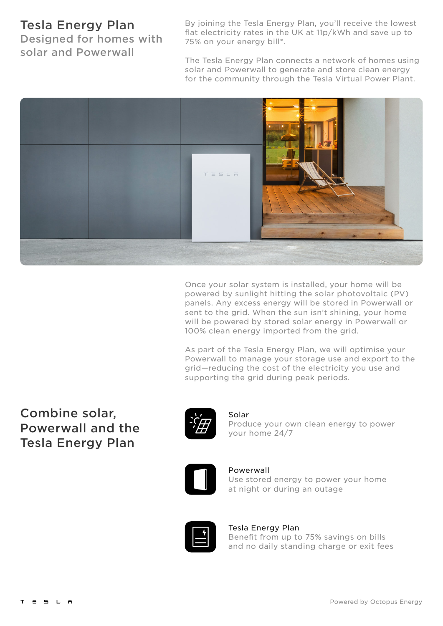## Tesla Energy Plan

Designed for homes with solar and Powerwall

By joining the Tesla Energy Plan, you'll receive the lowest flat electricity rates in the UK at 11p/kWh and save up to 75% on your energy bill\*.

The Tesla Energy Plan connects a network of homes using solar and Powerwall to generate and store clean energy for the community through the Tesla Virtual Power Plant.



Once your solar system is installed, your home will be powered by sunlight hitting the solar photovoltaic (PV) panels. Any excess energy will be stored in Powerwall or sent to the grid. When the sun isn't shining, your home will be powered by stored solar energy in Powerwall or 100% clean energy imported from the grid.

As part of the Tesla Energy Plan, we will optimise your Powerwall to manage your storage use and export to the grid—reducing the cost of the electricity you use and supporting the grid during peak periods.

# Combine solar, Powerwall and the Tesla Energy Plan



Solar Produce your own clean energy to power your home 24/7



### Powerwall

Use stored energy to power your home at night or during an outage



### Tesla Energy Plan

Benefit from up to 75% savings on bills and no daily standing charge or exit fees